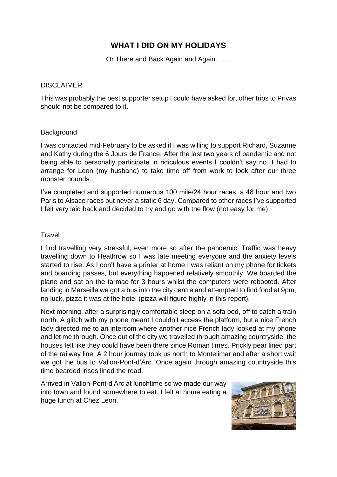# **WHAT I DID ON MY HOLIDAYS**

Or There and Back Again and Again…….

## DISCLAIMER

This was probably the best supporter setup I could have asked for, other trips to Privas should not be compared to it.

#### **Background**

I was contacted mid-February to be asked if I was willing to support Richard, Suzanne and Kathy during the 6 Jours de France. After the last two years of pandemic and not being able to personally participate in ridiculous events I couldn't say no. I had to arrange for Leon (my husband) to take time off from work to look after our three monster hounds.

I've completed and supported numerous 100 mile/24 hour races, a 48 hour and two Paris to Alsace races but never a static 6 day. Compared to other races I've supported I felt very laid back and decided to try and go with the flow (not easy for me).

#### **Travel**

I find travelling very stressful, even more so after the pandemic. Traffic was heavy travelling down to Heathrow so I was late meeting everyone and the anxiety levels started to rise. As I don't have a printer at home I was reliant on my phone for tickets and boarding passes, but everything happened relatively smoothly. We boarded the plane and sat on the tarmac for 3 hours whilst the computers were rebooted. After landing in Marseille we got a bus into the city centre and attempted to find food at 9pm, no luck, pizza it was at the hotel (pizza will figure highly in this report).

Next morning, after a surprisingly comfortable sleep on a sofa bed, off to catch a train north. A glitch with my phone meant I couldn't access the platform, but a nice French lady directed me to an intercom where another nice French lady looked at my phone and let me through. Once out of the city we travelled through amazing countryside, the houses felt like they could have been there since Roman times. Prickly pear lined part of the railway line. A 2 hour journey took us north to Montelimar and after a short wait we got the bus to Vallon-Pont-d'Arc. Once again through amazing countryside this time bearded irises lined the road.

Arrived in Vallon-Pont-d'Arc at lunchtime so we made our way into town and found somewhere to eat. I felt at home eating a huge lunch at Chez Leon.

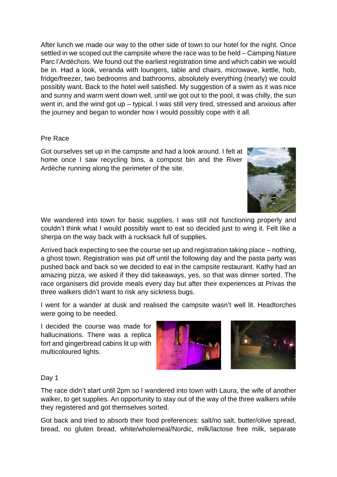After lunch we made our way to the other side of town to our hotel for the night. Once settled in we scoped out the campsite where the race was to be held – Camping Nature Parc l'Ardéchois. We found out the earliest registration time and which cabin we would be in. Had a look, veranda with loungers, table and chairs, microwave, kettle, hob, fridge/freezer, two bedrooms and bathrooms, absolutely everything (nearly) we could possibly want. Back to the hotel well satisfied. My suggestion of a swim as it was nice and sunny and warm went down well, until we got out to the pool, it was chilly, the sun went in, and the wind got up – typical. I was still very tired, stressed and anxious after the journey and began to wonder how I would possibly cope with it all.

# Pre Race

Got ourselves set up in the campsite and had a look around. I felt at home once I saw recycling bins, a compost bin and the River Ardèche running along the perimeter of the site.



Arrived back expecting to see the course set up and registration taking place – nothing, a ghost town. Registration was put off until the following day and the pasta party was pushed back and back so we decided to eat in the campsite restaurant. Kathy had an amazing pizza, we asked if they did takeaways, yes, so that was dinner sorted. The race organisers did provide meals every day but after their experiences at Privas the three walkers didn't want to risk any sickness bugs.

I went for a wander at dusk and realised the campsite wasn't well lit. Headtorches were going to be needed.

I decided the course was made for hallucinations. There was a replica fort and gingerbread cabins lit up with multicoloured lights.



Day 1

The race didn't start until 2pm so I wandered into town with Laura, the wife of another walker, to get supplies. An opportunity to stay out of the way of the three walkers while they registered and got themselves sorted.

Got back and tried to absorb their food preferences: salt/no salt, butter/olive spread, bread, no gluten bread, white/wholemeal/Nordic, milk/lactose free milk, separate

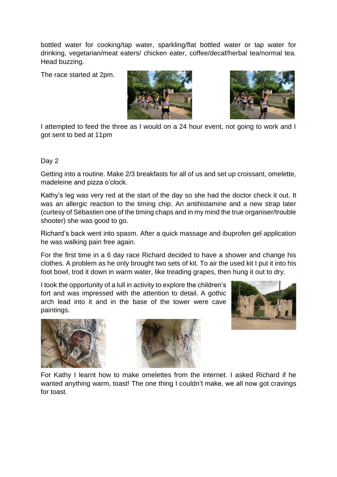bottled water for cooking/tap water, sparkling/flat bottled water or tap water for drinking, vegetarian/meat eaters/ chicken eater, coffee/decaf/herbal tea/normal tea. Head buzzing.

The race started at 2pm.





I attempted to feed the three as I would on a 24 hour event, not going to work and I got sent to bed at 11pm

## Day 2

Getting into a routine. Make 2/3 breakfasts for all of us and set up croissant, omelette, madeleine and pizza o'clock.

Kathy's leg was very red at the start of the day so she had the doctor check it out. It was an allergic reaction to the timing chip. An antihistamine and a new strap later (curtesy of Sébastien one of the timing chaps and in my mind the true organiser/trouble shooter) she was good to go.

Richard's back went into spasm. After a quick massage and ibuprofen gel application he was walking pain free again.

For the first time in a 6 day race Richard decided to have a shower and change his clothes. A problem as he only brought two sets of kit. To air the used kit I put it into his foot bowl, trod it down in warm water, like treading grapes, then hung it out to dry.

I took the opportunity of a lull in activity to explore the children's fort and was impressed with the attention to detail. A gothic arch lead into it and in the base of the tower were cave paintings.







For Kathy I learnt how to make omelettes from the internet. I asked Richard if he wanted anything warm, toast! The one thing I couldn't make, we all now got cravings for toast.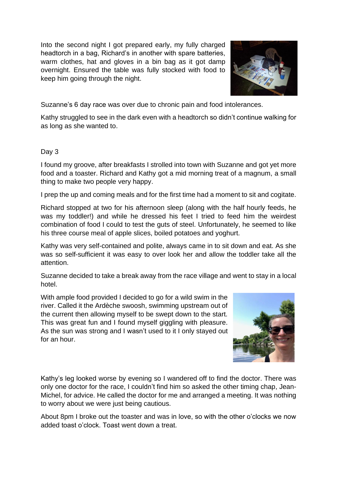Into the second night I got prepared early, my fully charged headtorch in a bag, Richard's in another with spare batteries, warm clothes, hat and gloves in a bin bag as it got damp overnight. Ensured the table was fully stocked with food to keep him going through the night.



Suzanne's 6 day race was over due to chronic pain and food intolerances.

Kathy struggled to see in the dark even with a headtorch so didn't continue walking for as long as she wanted to.

## Day 3

I found my groove, after breakfasts I strolled into town with Suzanne and got yet more food and a toaster. Richard and Kathy got a mid morning treat of a magnum, a small thing to make two people very happy.

I prep the up and coming meals and for the first time had a moment to sit and cogitate.

Richard stopped at two for his afternoon sleep (along with the half hourly feeds, he was my toddler!) and while he dressed his feet I tried to feed him the weirdest combination of food I could to test the guts of steel. Unfortunately, he seemed to like his three course meal of apple slices, boiled potatoes and yoghurt.

Kathy was very self-contained and polite, always came in to sit down and eat. As she was so self-sufficient it was easy to over look her and allow the toddler take all the attention.

Suzanne decided to take a break away from the race village and went to stay in a local hotel.

With ample food provided I decided to go for a wild swim in the river. Called it the Ardèche swoosh, swimming upstream out of the current then allowing myself to be swept down to the start. This was great fun and I found myself giggling with pleasure. As the sun was strong and I wasn't used to it I only stayed out for an hour.



Kathy's leg looked worse by evening so I wandered off to find the doctor. There was only one doctor for the race, I couldn't find him so asked the other timing chap, Jean-Michel, for advice. He called the doctor for me and arranged a meeting. It was nothing to worry about we were just being cautious.

About 8pm I broke out the toaster and was in love, so with the other o'clocks we now added toast o'clock. Toast went down a treat.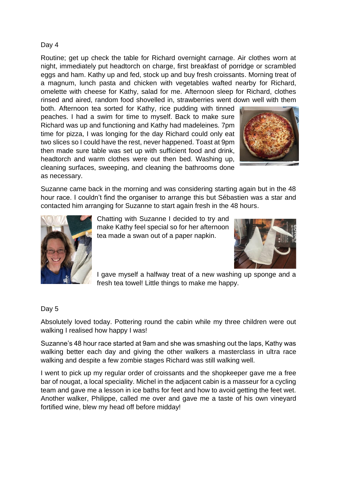## Day 4

Routine; get up check the table for Richard overnight carnage. Air clothes worn at night, immediately put headtorch on charge, first breakfast of porridge or scrambled eggs and ham. Kathy up and fed, stock up and buy fresh croissants. Morning treat of a magnum, lunch pasta and chicken with vegetables wafted nearby for Richard, omelette with cheese for Kathy, salad for me. Afternoon sleep for Richard, clothes rinsed and aired, random food shovelled in, strawberries went down well with them

both. Afternoon tea sorted for Kathy, rice pudding with tinned peaches. I had a swim for time to myself. Back to make sure Richard was up and functioning and Kathy had madeleines. 7pm time for pizza, I was longing for the day Richard could only eat two slices so I could have the rest, never happened. Toast at 9pm then made sure table was set up with sufficient food and drink, headtorch and warm clothes were out then bed. Washing up, cleaning surfaces, sweeping, and cleaning the bathrooms done as necessary.



Suzanne came back in the morning and was considering starting again but in the 48 hour race. I couldn't find the organiser to arrange this but Sébastien was a star and contacted him arranging for Suzanne to start again fresh in the 48 hours.



Chatting with Suzanne I decided to try and make Kathy feel special so for her afternoon tea made a swan out of a paper napkin.



I gave myself a halfway treat of a new washing up sponge and a fresh tea towel! Little things to make me happy.

## Day 5

Absolutely loved today. Pottering round the cabin while my three children were out walking I realised how happy I was!

Suzanne's 48 hour race started at 9am and she was smashing out the laps, Kathy was walking better each day and giving the other walkers a masterclass in ultra race walking and despite a few zombie stages Richard was still walking well.

I went to pick up my regular order of croissants and the shopkeeper gave me a free bar of nougat, a local speciality. Michel in the adjacent cabin is a masseur for a cycling team and gave me a lesson in ice baths for feet and how to avoid getting the feet wet. Another walker, Philippe, called me over and gave me a taste of his own vineyard fortified wine, blew my head off before midday!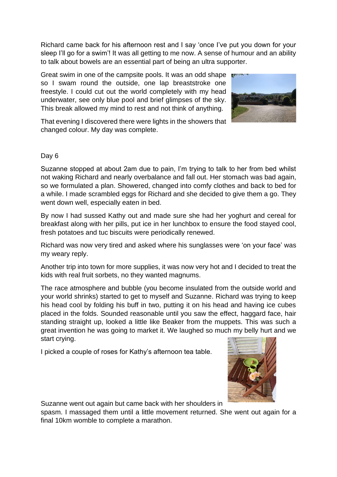Richard came back for his afternoon rest and I say 'once I've put you down for your sleep I'll go for a swim'! It was all getting to me now. A sense of humour and an ability to talk about bowels are an essential part of being an ultra supporter.

Great swim in one of the campsite pools. It was an odd shape so I swam round the outside, one lap breaststroke one freestyle. I could cut out the world completely with my head underwater, see only blue pool and brief glimpses of the sky. This break allowed my mind to rest and not think of anything.



That evening I discovered there were lights in the showers that changed colour. My day was complete.

# Day 6

Suzanne stopped at about 2am due to pain, I'm trying to talk to her from bed whilst not waking Richard and nearly overbalance and fall out. Her stomach was bad again, so we formulated a plan. Showered, changed into comfy clothes and back to bed for a while. I made scrambled eggs for Richard and she decided to give them a go. They went down well, especially eaten in bed.

By now I had sussed Kathy out and made sure she had her yoghurt and cereal for breakfast along with her pills, put ice in her lunchbox to ensure the food stayed cool, fresh potatoes and tuc biscuits were periodically renewed.

Richard was now very tired and asked where his sunglasses were 'on your face' was my weary reply.

Another trip into town for more supplies, it was now very hot and I decided to treat the kids with real fruit sorbets, no they wanted magnums.

The race atmosphere and bubble (you become insulated from the outside world and your world shrinks) started to get to myself and Suzanne. Richard was trying to keep his head cool by folding his buff in two, putting it on his head and having ice cubes placed in the folds. Sounded reasonable until you saw the effect, haggard face, hair standing straight up, looked a little like Beaker from the muppets. This was such a great invention he was going to market it. We laughed so much my belly hurt and we start crying.

I picked a couple of roses for Kathy's afternoon tea table.



Suzanne went out again but came back with her shoulders in

spasm. I massaged them until a little movement returned. She went out again for a final 10km womble to complete a marathon.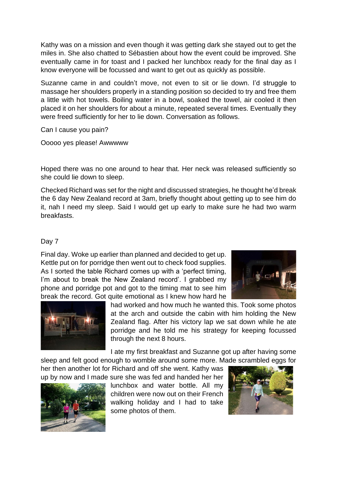Kathy was on a mission and even though it was getting dark she stayed out to get the miles in. She also chatted to Sébastien about how the event could be improved. She eventually came in for toast and I packed her lunchbox ready for the final day as I know everyone will be focussed and want to get out as quickly as possible.

Suzanne came in and couldn't move, not even to sit or lie down. I'd struggle to massage her shoulders properly in a standing position so decided to try and free them a little with hot towels. Boiling water in a bowl, soaked the towel, air cooled it then placed it on her shoulders for about a minute, repeated several times. Eventually they were freed sufficiently for her to lie down. Conversation as follows.

Can I cause you pain?

Ooooo yes please! Awwwww

Hoped there was no one around to hear that. Her neck was released sufficiently so she could lie down to sleep.

Checked Richard was set for the night and discussed strategies, he thought he'd break the 6 day New Zealand record at 3am, briefly thought about getting up to see him do it, nah I need my sleep. Said I would get up early to make sure he had two warm breakfasts.

## Day 7

Final day. Woke up earlier than planned and decided to get up. Kettle put on for porridge then went out to check food supplies. As I sorted the table Richard comes up with a 'perfect timing, I'm about to break the New Zealand record'. I grabbed my phone and porridge pot and got to the timing mat to see him break the record. Got quite emotional as I knew how hard he





had worked and how much he wanted this. Took some photos at the arch and outside the cabin with him holding the New Zealand flag. After his victory lap we sat down while he ate porridge and he told me his strategy for keeping focussed through the next 8 hours.

I ate my first breakfast and Suzanne got up after having some

sleep and felt good enough to womble around some more. Made scrambled eggs for her then another lot for Richard and off she went. Kathy was up by now and I made sure she was fed and handed her her



lunchbox and water bottle. All my children were now out on their French walking holiday and I had to take some photos of them.

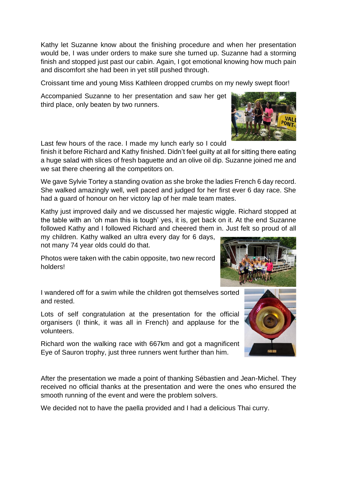Kathy let Suzanne know about the finishing procedure and when her presentation would be, I was under orders to make sure she turned up. Suzanne had a storming finish and stopped just past our cabin. Again, I got emotional knowing how much pain and discomfort she had been in yet still pushed through.

Croissant time and young Miss Kathleen dropped crumbs on my newly swept floor!

Accompanied Suzanne to her presentation and saw her get third place, only beaten by two runners.

Last few hours of the race. I made my lunch early so I could

finish it before Richard and Kathy finished. Didn't feel guilty at all for sitting there eating a huge salad with slices of fresh baguette and an olive oil dip. Suzanne joined me and we sat there cheering all the competitors on.

We gave Sylvie Tortey a standing ovation as she broke the ladies French 6 day record. She walked amazingly well, well paced and judged for her first ever 6 day race. She had a guard of honour on her victory lap of her male team mates.

Kathy just improved daily and we discussed her majestic wiggle. Richard stopped at the table with an 'oh man this is tough' yes, it is, get back on it. At the end Suzanne followed Kathy and I followed Richard and cheered them in. Just felt so proud of all

my children. Kathy walked an ultra every day for 6 days, not many 74 year olds could do that.

Photos were taken with the cabin opposite, two new record holders!

I wandered off for a swim while the children got themselves sorted and rested.

Lots of self congratulation at the presentation for the official organisers (I think, it was all in French) and applause for the volunteers.

Richard won the walking race with 667km and got a magnificent Eye of Sauron trophy, just three runners went further than him.

After the presentation we made a point of thanking Sébastien and Jean-Michel. They received no official thanks at the presentation and were the ones who ensured the smooth running of the event and were the problem solvers.

We decided not to have the paella provided and I had a delicious Thai curry.